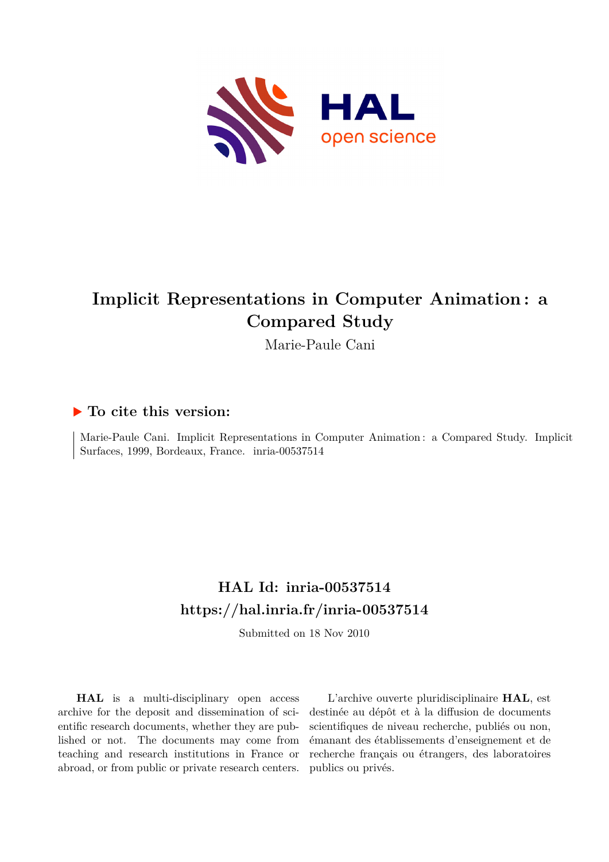

# **Implicit Representations in Computer Animation : a Compared Study**

Marie-Paule Cani

## **To cite this version:**

Marie-Paule Cani. Implicit Representations in Computer Animation : a Compared Study. Implicit Surfaces, 1999, Bordeaux, France. inria-00537514

## **HAL Id: inria-00537514 <https://hal.inria.fr/inria-00537514>**

Submitted on 18 Nov 2010

**HAL** is a multi-disciplinary open access archive for the deposit and dissemination of scientific research documents, whether they are published or not. The documents may come from teaching and research institutions in France or abroad, or from public or private research centers.

L'archive ouverte pluridisciplinaire **HAL**, est destinée au dépôt et à la diffusion de documents scientifiques de niveau recherche, publiés ou non, émanant des établissements d'enseignement et de recherche français ou étrangers, des laboratoires publics ou privés.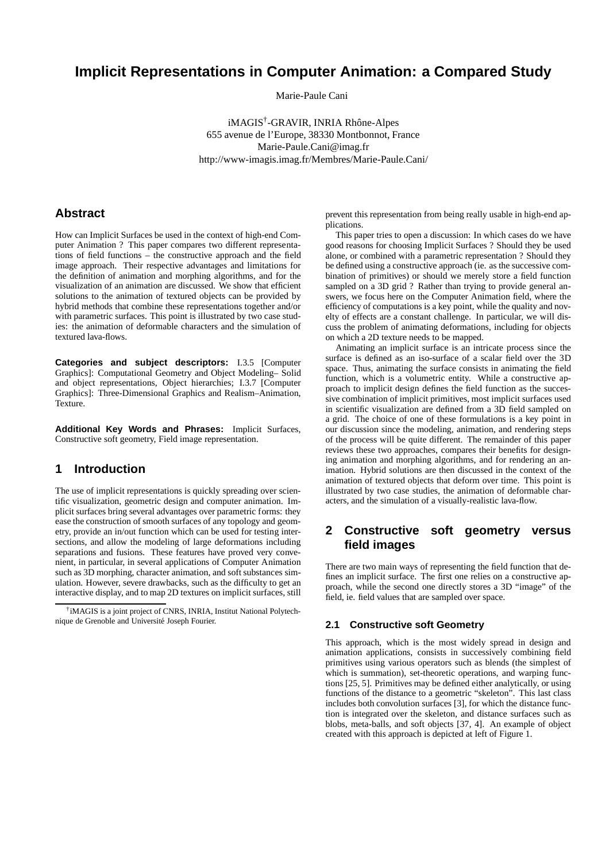## **Implicit Representations in Computer Animation: a Compared Study**

Marie-Paule Cani

iMAGIS<sup>†</sup>-GRAVIR, INRIA Rhône-Alpes 655 avenue de l'Europe, 38330 Montbonnot, France Marie-Paule.Cani@imag.fr http://www-imagis.imag.fr/Membres/Marie-Paule.Cani/

## **Abstract**

How can Implicit Surfaces be used in the context of high-end Computer Animation ? This paper compares two different representations of field functions – the constructive approach and the field image approach. Their respective advantages and limitations for the definition of animation and morphing algorithms, and for the visualization of an animation are discussed. We show that efficient solutions to the animation of textured objects can be provided by hybrid methods that combine these representations together and/or with parametric surfaces. This point is illustrated by two case studies: the animation of deformable characters and the simulation of textured lava-flows.

**Categories and subject descriptors:** I.3.5 [Computer Graphics]: Computational Geometry and Object Modeling– Solid and object representations, Object hierarchies; I.3.7 [Computer Graphics]: Three-Dimensional Graphics and Realism–Animation, Texture.

**Additional Key Words and Phrases:** Implicit Surfaces, Constructive soft geometry, Field image representation.

## **1 Introduction**

The use of implicit representations is quickly spreading over scientific visualization, geometric design and computer animation. Implicit surfaces bring several advantages over parametric forms: they ease the construction of smooth surfaces of any topology and geometry, provide an in/out function which can be used for testing intersections, and allow the modeling of large deformations including separations and fusions. These features have proved very convenient, in particular, in several applications of Computer Animation such as 3D morphing, character animation, and soft substances simulation. However, severe drawbacks, such as the difficulty to get an interactive display, and to map 2D textures on implicit surfaces, still prevent this representation from being really usable in high-end applications.

This paper tries to open a discussion: In which cases do we have good reasons for choosing Implicit Surfaces ? Should they be used alone, or combined with a parametric representation ? Should they be defined using a constructive approach (ie. as the successive combination of primitives) or should we merely store a field function sampled on a 3D grid ? Rather than trying to provide general answers, we focus here on the Computer Animation field, where the efficiency of computations is a key point, while the quality and novelty of effects are a constant challenge. In particular, we will discuss the problem of animating deformations, including for objects on which a 2D texture needs to be mapped.

Animating an implicit surface is an intricate process since the surface is defined as an iso-surface of a scalar field over the 3D space. Thus, animating the surface consists in animating the field function, which is a volumetric entity. While a constructive approach to implicit design defines the field function as the successive combination of implicit primitives, most implicit surfaces used in scientific visualization are defined from a 3D field sampled on a grid. The choice of one of these formulations is a key point in our discussion since the modeling, animation, and rendering steps of the process will be quite different. The remainder of this paper reviews these two approaches, compares their benefits for designing animation and morphing algorithms, and for rendering an animation. Hybrid solutions are then discussed in the context of the animation of textured objects that deform over time. This point is illustrated by two case studies, the animation of deformable characters, and the simulation of a visually-realistic lava-flow.

## **2 Constructive soft geometry versus field images**

There are two main ways of representing the field function that defines an implicit surface. The first one relies on a constructive approach, while the second one directly stores a 3D "image" of the field, ie. field values that are sampled over space.

#### **2.1 Constructive soft Geometry**

This approach, which is the most widely spread in design and animation applications, consists in successively combining field primitives using various operators such as blends (the simplest of which is summation), set-theoretic operations, and warping functions [25, 5]. Primitives may be defined either analytically, or using functions of the distance to a geometric "skeleton". This last class includes both convolution surfaces [3], for which the distance function is integrated over the skeleton, and distance surfaces such as blobs, meta-balls, and soft objects [37, 4]. An example of object created with this approach is depicted at left of Figure 1.

<sup>†</sup> iMAGIS is a joint project of CNRS, INRIA, Institut National Polytechnique de Grenoble and Université Joseph Fourier.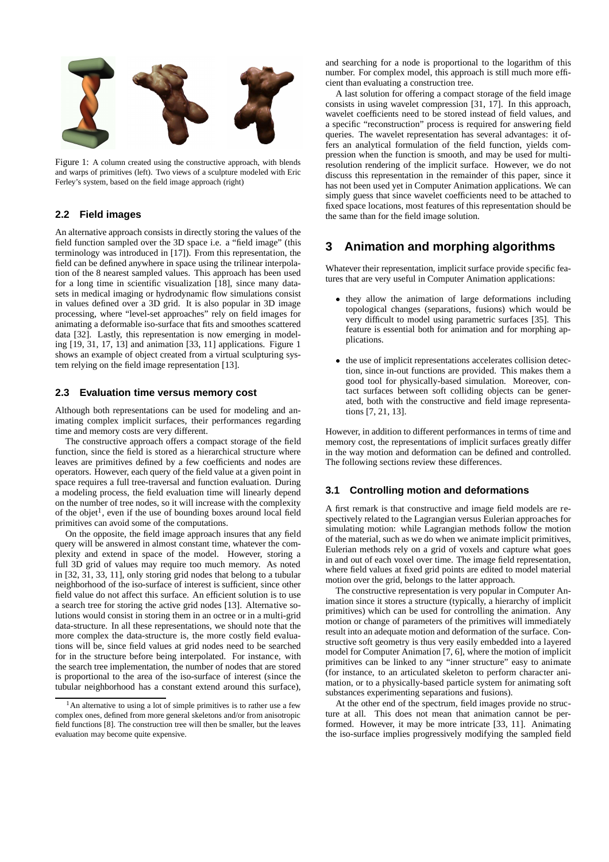

Figure 1: A column created using the constructive approach, with blends and warps of primitives (left). Two views of a sculpture modeled with Eric Ferley's system, based on the field image approach (right)

#### **2.2 Field images**

An alternative approach consists in directly storing the values of the field function sampled over the 3D space i.e. a "field image" (this terminology was introduced in [17]). From this representation, the field can be defined anywhere in space using the trilinear interpolation of the 8 nearest sampled values. This approach has been used for a long time in scientific visualization [18], since many datasets in medical imaging or hydrodynamic flow simulations consist in values defined over a 3D grid. It is also popular in 3D image processing, where "level-set approaches" rely on field images for animating a deformable iso-surface that fits and smoothes scattered data [32]. Lastly, this representation is now emerging in modeling [19, 31, 17, 13] and animation [33, 11] applications. Figure 1 shows an example of object created from a virtual sculpturing system relying on the field image representation [13].

#### **2.3 Evaluation time versus memory cost**

Although both representations can be used for modeling and animating complex implicit surfaces, their performances regarding time and memory costs are very different.

The constructive approach offers a compact storage of the field function, since the field is stored as a hierarchical structure where leaves are primitives defined by a few coefficients and nodes are operators. However, each query of the field value at a given point in space requires a full tree-traversal and function evaluation. During a modeling process, the field evaluation time will linearly depend on the number of tree nodes, so it will increase with the complexity of the objet<sup>1</sup>, even if the use of bounding boxes around local field primitives can avoid some of the computations.

On the opposite, the field image approach insures that any field query will be answered in almost constant time, whatever the complexity and extend in space of the model. However, storing a full 3D grid of values may require too much memory. As noted in [32, 31, 33, 11], only storing grid nodes that belong to a tubular neighborhood of the iso-surface of interest is sufficient, since other field value do not affect this surface. An efficient solution is to use a search tree for storing the active grid nodes [13]. Alternative solutions would consist in storing them in an octree or in a multi-grid data-structure. In all these representations, we should note that the more complex the data-structure is, the more costly field evaluations will be, since field values at grid nodes need to be searched for in the structure before being interpolated. For instance, with the search tree implementation, the number of nodes that are stored is proportional to the area of the iso-surface of interest (since the tubular neighborhood has a constant extend around this surface),

and searching for a node is proportional to the logarithm of this number. For complex model, this approach is still much more efficient than evaluating a construction tree.

A last solution for offering a compact storage of the field image consists in using wavelet compression [31, 17]. In this approach, wavelet coefficients need to be stored instead of field values, and a specific "reconstruction" process is required for answering field queries. The wavelet representation has several advantages: it offers an analytical formulation of the field function, yields compression when the function is smooth, and may be used for multiresolution rendering of the implicit surface. However, we do not discuss this representation in the remainder of this paper, since it has not been used yet in Computer Animation applications. We can simply guess that since wavelet coefficients need to be attached to fixed space locations, most features of this representation should be the same than for the field image solution.

## **3 Animation and morphing algorithms**

Whatever their representation, implicit surface provide specific features that are very useful in Computer Animation applications:

- they allow the animation of large deformations including topological changes (separations, fusions) which would be very difficult to model using parametric surfaces [35]. This feature is essential both for animation and for morphing applications.
- the use of implicit representations accelerates collision detection, since in-out functions are provided. This makes them a good tool for physically-based simulation. Moreover, contact surfaces between soft colliding objects can be generated, both with the constructive and field image representations [7, 21, 13].

However, in addition to different performances in terms of time and memory cost, the representations of implicit surfaces greatly differ in the way motion and deformation can be defined and controlled. The following sections review these differences.

#### **3.1 Controlling motion and deformations**

A first remark is that constructive and image field models are respectively related to the Lagrangian versus Eulerian approaches for simulating motion: while Lagrangian methods follow the motion of the material, such as we do when we animate implicit primitives, Eulerian methods rely on a grid of voxels and capture what goes in and out of each voxel over time. The image field representation, where field values at fixed grid points are edited to model material motion over the grid, belongs to the latter approach.

The constructive representation is very popular in Computer Animation since it stores a structure (typically, a hierarchy of implicit primitives) which can be used for controlling the animation. Any motion or change of parameters of the primitives will immediately result into an adequate motion and deformation of the surface. Constructive soft geometry is thus very easily embedded into a layered model for Computer Animation [7, 6], where the motion of implicit primitives can be linked to any "inner structure" easy to animate (for instance, to an articulated skeleton to perform character animation, or to a physically-based particle system for animating soft substances experimenting separations and fusions).

At the other end of the spectrum, field images provide no structure at all. This does not mean that animation cannot be performed. However, it may be more intricate [33, 11]. Animating the iso-surface implies progressively modifying the sampled field

 $<sup>1</sup>$ An alternative to using a lot of simple primitives is to rather use a few</sup> complex ones, defined from more general skeletons and/or from anisotropic field functions [8]. The construction tree will then be smaller, but the leaves evaluation may become quite expensive.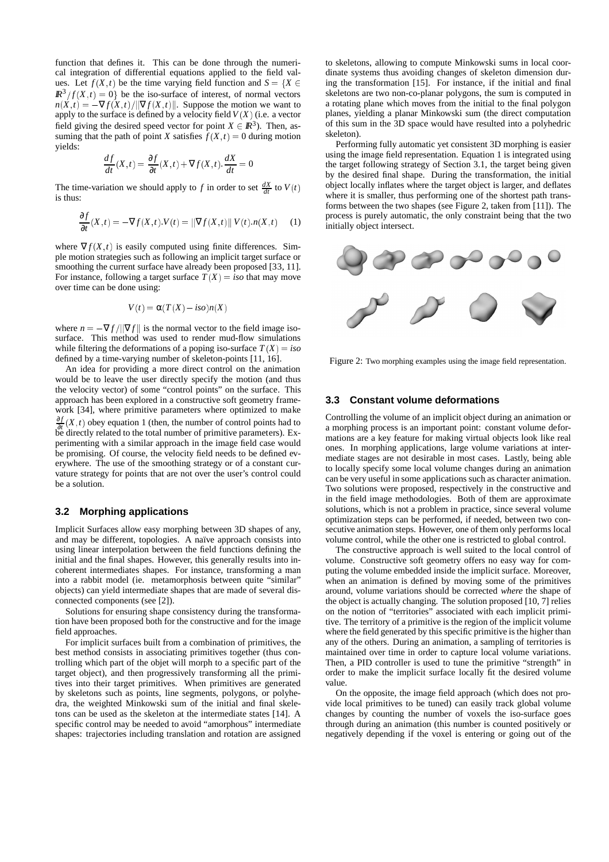function that defines it. This can be done through the numerical integration of differential equations applied to the field values. Let  $f(X,t)$  be the time varying field function and  $S = \{X \in$  $I\!\!R^3$   $f(X,t) = 0$ } be the iso-surface of interest, of normal vectors  $n(X,t) = -\nabla f(X,t) / ||\nabla f(X,t)||$ . Suppose the motion we want to apply to the surface is defined by a velocity field  $V(X)$  (i.e. a vector field giving the desired speed vector for point  $X \in \mathbb{R}^3$ ). Then, assuming that the path of point *X* satisfies  $f(X,t) = 0$  during motion yields:

$$
\frac{df}{dt}(X,t) = \frac{\partial f}{\partial t}(X,t) + \nabla f(X,t).\frac{dX}{dt} = 0
$$

The time-variation we should apply to *f* in order to set  $\frac{dX}{dt}$  to  $V(t)$ is thus:

$$
\frac{\partial f}{\partial t}(X,t) = -\nabla f(X,t).V(t) = \|\nabla f(X,t)\| V(t).n(X,t) \quad (1)
$$

where  $\nabla f(X,t)$  is easily computed using finite differences. Simple motion strategies such as following an implicit target surface or smoothing the current surface have already been proposed [33, 11]. For instance, following a target surface  $T(X) = iso$  that may move over time can be done using:

$$
V(t) = \alpha (T(X) - iso)n(X)
$$

where  $n = -\nabla f / ||\nabla f||$  is the normal vector to the field image isosurface. This method was used to render mud-flow simulations while filtering the deformations of a poping iso-surface  $T(X) = iso$ defined by a time-varying number of skeleton-points [11, 16].

An idea for providing a more direct control on the animation would be to leave the user directly specify the motion (and thus the velocity vector) of some "control points" on the surface. This approach has been explored in a constructive soft geometry framework [34], where primitive parameters where optimized to make  $\frac{\partial f}{\partial t}(X,t)$  obey equation 1 (then, the number of control points had to be directly related to the total number of primitive parameters). Experimenting with a similar approach in the image field case would be promising. Of course, the velocity field needs to be defined everywhere. The use of the smoothing strategy or of a constant curvature strategy for points that are not over the user's control could be a solution.

#### **3.2 Morphing applications**

Implicit Surfaces allow easy morphing between 3D shapes of any, and may be different, topologies. A naïve approach consists into using linear interpolation between the field functions defining the initial and the final shapes. However, this generally results into incoherent intermediates shapes. For instance, transforming a man into a rabbit model (ie. metamorphosis between quite "similar" objects) can yield intermediate shapes that are made of several disconnected components (see [2]).

Solutions for ensuring shape consistency during the transformation have been proposed both for the constructive and for the image field approaches.

For implicit surfaces built from a combination of primitives, the best method consists in associating primitives together (thus controlling which part of the objet will morph to a specific part of the target object), and then progressively transforming all the primitives into their target primitives. When primitives are generated by skeletons such as points, line segments, polygons, or polyhedra, the weighted Minkowski sum of the initial and final skeletons can be used as the skeleton at the intermediate states [14]. A specific control may be needed to avoid "amorphous" intermediate shapes: trajectories including translation and rotation are assigned to skeletons, allowing to compute Minkowski sums in local coordinate systems thus avoiding changes of skeleton dimension during the transformation [15]. For instance, if the initial and final skeletons are two non-co-planar polygons, the sum is computed in a rotating plane which moves from the initial to the final polygon planes, yielding a planar Minkowski sum (the direct computation of this sum in the 3D space would have resulted into a polyhedric skeleton).

Performing fully automatic yet consistent 3D morphing is easier using the image field representation. Equation 1 is integrated using the target following strategy of Section 3.1, the target being given by the desired final shape. During the transformation, the initial object locally inflates where the target object is larger, and deflates where it is smaller, thus performing one of the shortest path transforms between the two shapes (see Figure 2, taken from [11]). The process is purely automatic, the only constraint being that the two initially object intersect.



Figure 2: Two morphing examples using the image field representation.

#### **3.3 Constant volume deformations**

Controlling the volume of an implicit object during an animation or a morphing process is an important point: constant volume deformations are a key feature for making virtual objects look like real ones. In morphing applications, large volume variations at intermediate stages are not desirable in most cases. Lastly, being able to locally specify some local volume changes during an animation can be very useful in some applications such as character animation. Two solutions were proposed, respectively in the constructive and in the field image methodologies. Both of them are approximate solutions, which is not a problem in practice, since several volume optimization steps can be performed, if needed, between two consecutive animation steps. However, one of them only performs local volume control, while the other one is restricted to global control.

The constructive approach is well suited to the local control of volume. Constructive soft geometry offers no easy way for computing the volume embedded inside the implicit surface. Moreover, when an animation is defined by moving some of the primitives around, volume variations should be corrected *where* the shape of the object is actually changing. The solution proposed [10, 7] relies on the notion of "territories" associated with each implicit primitive. The territory of a primitive is the region of the implicit volume where the field generated by this specific primitive is the higher than any of the others. During an animation, a sampling of territories is maintained over time in order to capture local volume variations. Then, a PID controller is used to tune the primitive "strength" in order to make the implicit surface locally fit the desired volume value.

On the opposite, the image field approach (which does not provide local primitives to be tuned) can easily track global volume changes by counting the number of voxels the iso-surface goes through during an animation (this number is counted positively or negatively depending if the voxel is entering or going out of the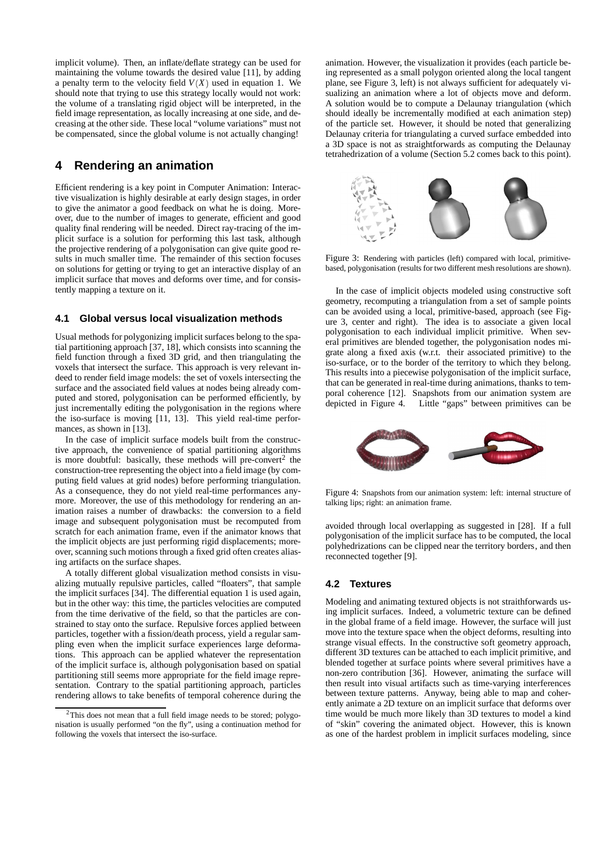implicit volume). Then, an inflate/deflate strategy can be used for maintaining the volume towards the desired value [11], by adding a penalty term to the velocity field  $V(X)$  used in equation 1. We should note that trying to use this strategy locally would not work: the volume of a translating rigid object will be interpreted, in the field image representation, as locally increasing at one side, and decreasing at the other side. These local "volume variations" must not be compensated, since the global volume is not actually changing!

## **4 Rendering an animation**

Efficient rendering is a key point in Computer Animation: Interactive visualization is highly desirable at early design stages, in order to give the animator a good feedback on what he is doing. Moreover, due to the number of images to generate, efficient and good quality final rendering will be needed. Direct ray-tracing of the implicit surface is a solution for performing this last task, although the projective rendering of a polygonisation can give quite good results in much smaller time. The remainder of this section focuses on solutions for getting or trying to get an interactive display of an implicit surface that moves and deforms over time, and for consistently mapping a texture on it.

#### **4.1 Global versus local visualization methods**

Usual methods for polygonizing implicit surfaces belong to the spatial partitioning approach [37, 18], which consists into scanning the field function through a fixed 3D grid, and then triangulating the voxels that intersect the surface. This approach is very relevant indeed to render field image models: the set of voxels intersecting the surface and the associated field values at nodes being already computed and stored, polygonisation can be performed efficiently, by just incrementally editing the polygonisation in the regions where the iso-surface is moving [11, 13]. This yield real-time performances, as shown in [13].

In the case of implicit surface models built from the constructive approach, the convenience of spatial partitioning algorithms is more doubtful: basically, these methods will pre-convert<sup>2</sup> the construction-tree representing the object into a field image (by computing field values at grid nodes) before performing triangulation. As a consequence, they do not yield real-time performances anymore. Moreover, the use of this methodology for rendering an animation raises a number of drawbacks: the conversion to a field image and subsequent polygonisation must be recomputed from scratch for each animation frame, even if the animator knows that the implicit objects are just performing rigid displacements; moreover, scanning such motions through a fixed grid often creates aliasing artifacts on the surface shapes.

A totally different global visualization method consists in visualizing mutually repulsive particles, called "floaters", that sample the implicit surfaces [34]. The differential equation 1 is used again, but in the other way: this time, the particles velocities are computed from the time derivative of the field, so that the particles are constrained to stay onto the surface. Repulsive forces applied between particles, together with a fission/death process, yield a regular sampling even when the implicit surface experiences large deformations. This approach can be applied whatever the representation of the implicit surface is, although polygonisation based on spatial partitioning still seems more appropriate for the field image representation. Contrary to the spatial partitioning approach, particles rendering allows to take benefits of temporal coherence during the animation. However, the visualization it provides (each particle being represented as a small polygon oriented along the local tangent plane, see Figure 3, left) is not always sufficient for adequately visualizing an animation where a lot of objects move and deform. A solution would be to compute a Delaunay triangulation (which should ideally be incrementally modified at each animation step) of the particle set. However, it should be noted that generalizing Delaunay criteria for triangulating a curved surface embedded into a 3D space is not as straightforwards as computing the Delaunay tetrahedrization of a volume (Section 5.2 comes back to this point).



Figure 3: Rendering with particles (left) compared with local, primitivebased, polygonisation (results for two different mesh resolutions are shown).

In the case of implicit objects modeled using constructive soft geometry, recomputing a triangulation from a set of sample points can be avoided using a local, primitive-based, approach (see Figure 3, center and right). The idea is to associate a given local polygonisation to each individual implicit primitive. When several primitives are blended together, the polygonisation nodes migrate along a fixed axis (w.r.t. their associated primitive) to the iso-surface, or to the border of the territory to which they belong. This results into a piecewise polygonisation of the implicit surface, that can be generated in real-time during animations, thanks to temporal coherence [12]. Snapshots from our animation system are depicted in Figure 4. Little "gaps" between primitives can be



Figure 4: Snapshots from our animation system: left: internal structure of talking lips; right: an animation frame.

avoided through local overlapping as suggested in [28]. If a full polygonisation of the implicit surface has to be computed, the local polyhedrizations can be clipped near the territory borders, and then reconnected together [9].

#### **4.2 Textures**

Modeling and animating textured objects is not straithforwards using implicit surfaces. Indeed, a volumetric texture can be defined in the global frame of a field image. However, the surface will just move into the texture space when the object deforms, resulting into strange visual effects. In the constructive soft geometry approach, different 3D textures can be attached to each implicit primitive, and blended together at surface points where several primitives have a non-zero contribution [36]. However, animating the surface will then result into visual artifacts such as time-varying interferences between texture patterns. Anyway, being able to map and coherently animate a 2D texture on an implicit surface that deforms over time would be much more likely than 3D textures to model a kind of "skin" covering the animated object. However, this is known as one of the hardest problem in implicit surfaces modeling, since

<sup>&</sup>lt;sup>2</sup>This does not mean that a full field image needs to be stored; polygonisation is usually performed "on the fly", using a continuation method for following the voxels that intersect the iso-surface.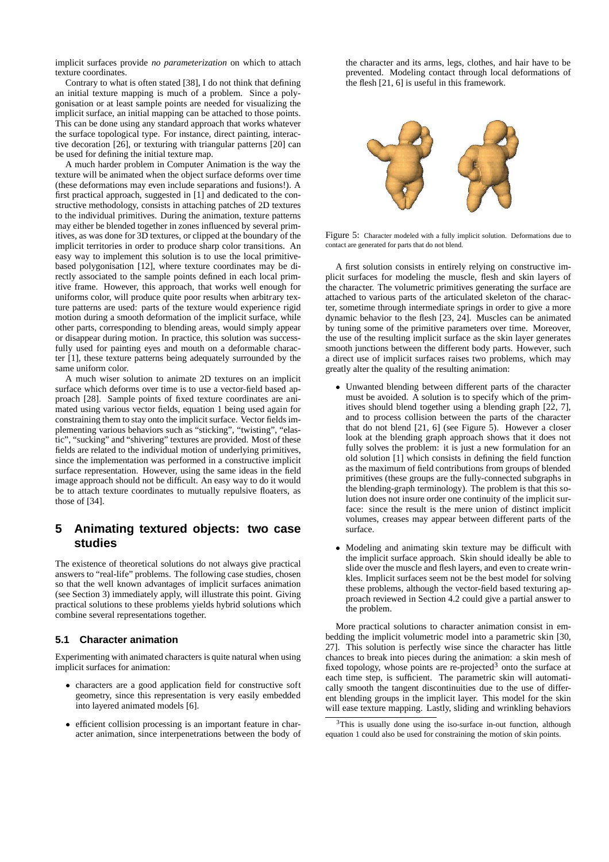implicit surfaces provide *no parameterization* on which to attach texture coordinates.

Contrary to what is often stated [38], I do not think that defining an initial texture mapping is much of a problem. Since a polygonisation or at least sample points are needed for visualizing the implicit surface, an initial mapping can be attached to those points. This can be done using any standard approach that works whatever the surface topological type. For instance, direct painting, interactive decoration [26], or texturing with triangular patterns [20] can be used for defining the initial texture map.

A much harder problem in Computer Animation is the way the texture will be animated when the object surface deforms over time (these deformations may even include separations and fusions!). A first practical approach, suggested in [1] and dedicated to the constructive methodology, consists in attaching patches of 2D textures to the individual primitives. During the animation, texture patterns may either be blended together in zones influenced by several primitives, as was done for 3D textures, or clipped at the boundary of the implicit territories in order to produce sharp color transitions. An easy way to implement this solution is to use the local primitivebased polygonisation [12], where texture coordinates may be directly associated to the sample points defined in each local primitive frame. However, this approach, that works well enough for uniforms color, will produce quite poor results when arbitrary texture patterns are used: parts of the texture would experience rigid motion during a smooth deformation of the implicit surface, while other parts, corresponding to blending areas, would simply appear or disappear during motion. In practice, this solution was successfully used for painting eyes and mouth on a deformable character [1], these texture patterns being adequately surrounded by the same uniform color.

A much wiser solution to animate 2D textures on an implicit surface which deforms over time is to use a vector-field based approach [28]. Sample points of fixed texture coordinates are animated using various vector fields, equation 1 being used again for constraining them to stay onto the implicit surface. Vector fields implementing various behaviors such as "sticking", "twisting", "elastic", "sucking" and "shivering" textures are provided. Most of these fields are related to the individual motion of underlying primitives, since the implementation was performed in a constructive implicit surface representation. However, using the same ideas in the field image approach should not be difficult. An easy way to do it would be to attach texture coordinates to mutually repulsive floaters, as those of [34].

## **5 Animating textured objects: two case studies**

The existence of theoretical solutions do not always give practical answers to "real-life" problems. The following case studies, chosen so that the well known advantages of implicit surfaces animation (see Section 3) immediately apply, will illustrate this point. Giving practical solutions to these problems yields hybrid solutions which combine several representations together.

#### **5.1 Character animation**

Experimenting with animated characters is quite natural when using implicit surfaces for animation:

- characters are a good application field for constructive soft geometry, since this representation is very easily embedded into layered animated models [6].
- efficient collision processing is an important feature in character animation, since interpenetrations between the body of

the character and its arms, legs, clothes, and hair have to be prevented. Modeling contact through local deformations of the flesh [21, 6] is useful in this framework.



Figure 5: Character modeled with a fully implicit solution. Deformations due to contact are generated for parts that do not blend.

A first solution consists in entirely relying on constructive implicit surfaces for modeling the muscle, flesh and skin layers of the character. The volumetric primitives generating the surface are attached to various parts of the articulated skeleton of the character, sometime through intermediate springs in order to give a more dynamic behavior to the flesh [23, 24]. Muscles can be animated by tuning some of the primitive parameters over time. Moreover, the use of the resulting implicit surface as the skin layer generates smooth junctions between the different body parts. However, such a direct use of implicit surfaces raises two problems, which may greatly alter the quality of the resulting animation:

- Unwanted blending between different parts of the character must be avoided. A solution is to specify which of the primitives should blend together using a blending graph [22, 7], and to process collision between the parts of the character that do not blend [21, 6] (see Figure 5). However a closer look at the blending graph approach shows that it does not fully solves the problem: it is just a new formulation for an old solution [1] which consists in defining the field function as the maximum of field contributions from groups of blended primitives (these groups are the fully-connected subgraphs in the blending-graph terminology). The problem is that this solution does not insure order one continuity of the implicit surface: since the result is the mere union of distinct implicit volumes, creases may appear between different parts of the surface.
- Modeling and animating skin texture may be difficult with the implicit surface approach. Skin should ideally be able to slide over the muscle and flesh layers, and even to create wrinkles. Implicit surfaces seem not be the best model for solving these problems, although the vector-field based texturing approach reviewed in Section 4.2 could give a partial answer to the problem.

More practical solutions to character animation consist in embedding the implicit volumetric model into a parametric skin [30, 27]. This solution is perfectly wise since the character has little chances to break into pieces during the animation: a skin mesh of fixed topology, whose points are re-projected<sup>3</sup> onto the surface at each time step, is sufficient. The parametric skin will automatically smooth the tangent discontinuities due to the use of different blending groups in the implicit layer. This model for the skin will ease texture mapping. Lastly, sliding and wrinkling behaviors

 $3$ This is usually done using the iso-surface in-out function, although equation 1 could also be used for constraining the motion of skin points.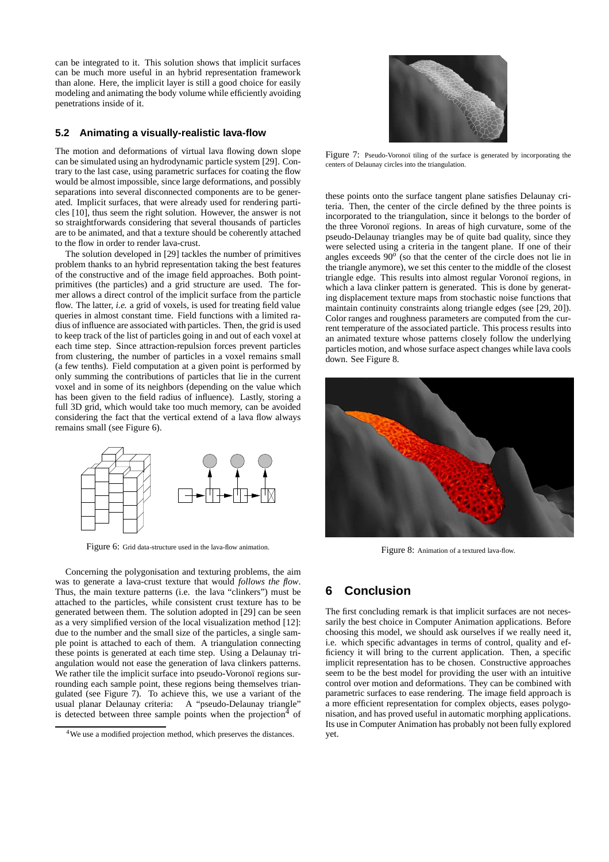can be integrated to it. This solution shows that implicit surfaces can be much more useful in an hybrid representation framework than alone. Here, the implicit layer is still a good choice for easily modeling and animating the body volume while efficiently avoiding penetrations inside of it.

#### **5.2 Animating a visually-realistic lava-flow**

The motion and deformations of virtual lava flowing down slope can be simulated using an hydrodynamic particle system [29]. Contrary to the last case, using parametric surfaces for coating the flow would be almost impossible, since large deformations, and possibly separations into several disconnected components are to be generated. Implicit surfaces, that were already used for rendering particles [10], thus seem the right solution. However, the answer is not so straightforwards considering that several thousands of particles are to be animated, and that a texture should be coherently attached to the flow in order to render lava-crust.

The solution developed in [29] tackles the number of primitives problem thanks to an hybrid representation taking the best features of the constructive and of the image field approaches. Both pointprimitives (the particles) and a grid structure are used. The former allows a direct control of the implicit surface from the particle flow. The latter, *i.e.* a grid of voxels, is used for treating field value queries in almost constant time. Field functions with a limited radius of influence are associated with particles. Then, the grid is used to keep track of the list of particles going in and out of each voxel at each time step. Since attraction-repulsion forces prevent particles from clustering, the number of particles in a voxel remains small (a few tenths). Field computation at a given point is performed by only summing the contributions of particles that lie in the current voxel and in some of its neighbors (depending on the value which has been given to the field radius of influence). Lastly, storing a full 3D grid, which would take too much memory, can be avoided considering the fact that the vertical extend of a lava flow always remains small (see Figure 6).



Figure 6: Grid data-structure used in the lava-flow animation.

Concerning the polygonisation and texturing problems, the aim was to generate a lava-crust texture that would *follows the flow*. Thus, the main texture patterns (i.e. the lava "clinkers") must be attached to the particles, while consistent crust texture has to be generated between them. The solution adopted in [29] can be seen as a very simplified version of the local visualization method [12]: due to the number and the small size of the particles, a single sample point is attached to each of them. A triangulation connecting these points is generated at each time step. Using a Delaunay triangulation would not ease the generation of lava clinkers patterns. We rather tile the implicit surface into pseudo-Voronoï regions surrounding each sample point, these regions being themselves triangulated (see Figure 7). To achieve this, we use a variant of the usual planar Delaunay criteria: A "pseudo-Delaunay triangle" is detected between three sample points when the projection<sup>4</sup> of



Figure 7: Pseudo-Voronoï tiling of the surface is generated by incorporating the centers of Delaunay circles into the triangulation.

these points onto the surface tangent plane satisfies Delaunay criteria. Then, the center of the circle defined by the three points is incorporated to the triangulation, since it belongs to the border of the three Voronoï regions. In areas of high curvature, some of the pseudo-Delaunay triangles may be of quite bad quality, since they were selected using a criteria in the tangent plane. If one of their angles exceeds  $90^\circ$  (so that the center of the circle does not lie in the triangle anymore), we set this center to the middle of the closest triangle edge. This results into almost regular Voronoï regions, in which a lava clinker pattern is generated. This is done by generating displacement texture maps from stochastic noise functions that maintain continuity constraints along triangle edges (see [29, 20]). Color ranges and roughness parameters are computed from the current temperature of the associated particle. This process results into an animated texture whose patterns closely follow the underlying particles motion, and whose surface aspect changes while lava cools down. See Figure 8.



Figure 8: Animation of a textured lava-flow.

## **6 Conclusion**

The first concluding remark is that implicit surfaces are not necessarily the best choice in Computer Animation applications. Before choosing this model, we should ask ourselves if we really need it, i.e. which specific advantages in terms of control, quality and efficiency it will bring to the current application. Then, a specific implicit representation has to be chosen. Constructive approaches seem to be the best model for providing the user with an intuitive control over motion and deformations. They can be combined with parametric surfaces to ease rendering. The image field approach is a more efficient representation for complex objects, eases polygonisation, and has proved useful in automatic morphing applications. Its use in Computer Animation has probably not been fully explored yet.

<sup>&</sup>lt;sup>4</sup>We use a modified projection method, which preserves the distances.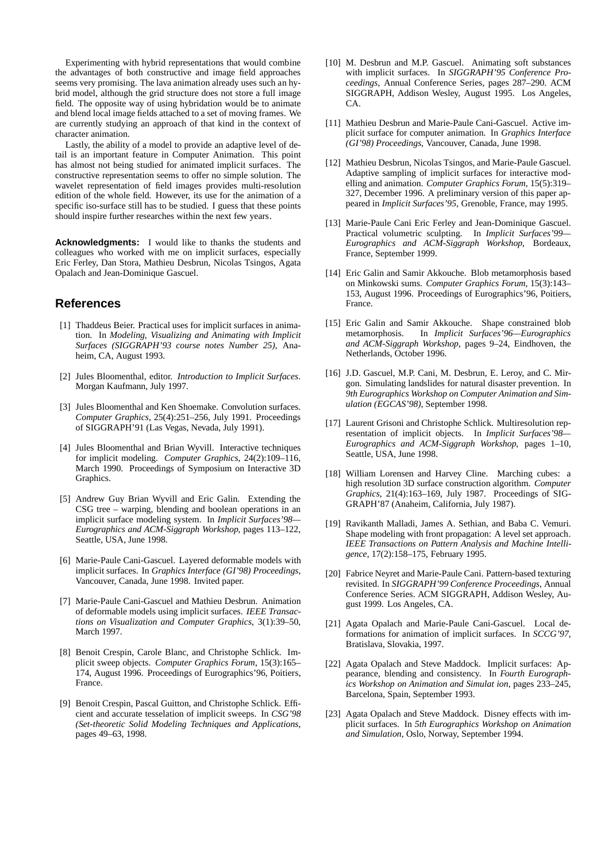Experimenting with hybrid representations that would combine the advantages of both constructive and image field approaches seems very promising. The lava animation already uses such an hybrid model, although the grid structure does not store a full image field. The opposite way of using hybridation would be to animate and blend local image fields attached to a set of moving frames. We are currently studying an approach of that kind in the context of character animation.

Lastly, the ability of a model to provide an adaptive level of detail is an important feature in Computer Animation. This point has almost not being studied for animated implicit surfaces. The constructive representation seems to offer no simple solution. The wavelet representation of field images provides multi-resolution edition of the whole field. However, its use for the animation of a specific iso-surface still has to be studied. I guess that these points should inspire further researches within the next few years.

**Acknowledgments:** I would like to thanks the students and colleagues who worked with me on implicit surfaces, especially Eric Ferley, Dan Stora, Mathieu Desbrun, Nicolas Tsingos, Agata Opalach and Jean-Dominique Gascuel.

### **References**

- [1] Thaddeus Beier. Practical uses for implicit surfaces in animation. In *Modeling, Visualizing and Animating with Implicit Surfaces (SIGGRAPH'93 course notes Number 25)*, Anaheim, CA, August 1993.
- [2] Jules Bloomenthal, editor. *Introduction to Implicit Surfaces*. Morgan Kaufmann, July 1997.
- [3] Jules Bloomenthal and Ken Shoemake. Convolution surfaces. *Computer Graphics*, 25(4):251–256, July 1991. Proceedings of SIGGRAPH'91 (Las Vegas, Nevada, July 1991).
- [4] Jules Bloomenthal and Brian Wyvill. Interactive techniques for implicit modeling. *Computer Graphics*, 24(2):109–116, March 1990. Proceedings of Symposium on Interactive 3D Graphics.
- [5] Andrew Guy Brian Wyvill and Eric Galin. Extending the CSG tree – warping, blending and boolean operations in an implicit surface modeling system. In *Implicit Surfaces'98— Eurographics and ACM-Siggraph Workshop*, pages 113–122, Seattle, USA, June 1998.
- [6] Marie-Paule Cani-Gascuel. Layered deformable models with implicit surfaces. In *Graphics Interface (GI'98) Proceedings*, Vancouver, Canada, June 1998. Invited paper.
- [7] Marie-Paule Cani-Gascuel and Mathieu Desbrun. Animation of deformable models using implicit surfaces. *IEEE Transactions on Visualization and Computer Graphics*, 3(1):39–50, March 1997.
- [8] Benoit Crespin, Carole Blanc, and Christophe Schlick. Implicit sweep objects. *Computer Graphics Forum*, 15(3):165– 174, August 1996. Proceedings of Eurographics'96, Poitiers, France.
- [9] Benoit Crespin, Pascal Guitton, and Christophe Schlick. Efficient and accurate tesselation of implicit sweeps. In *CSG'98 (Set-theoretic Solid Modeling Techniques and Applications*, pages 49–63, 1998.
- [10] M. Desbrun and M.P. Gascuel. Animating soft substances with implicit surfaces. In *SIGGRAPH'95 Conference Proceedings*, Annual Conference Series, pages 287–290. ACM SIGGRAPH, Addison Wesley, August 1995. Los Angeles, CA.
- [11] Mathieu Desbrun and Marie-Paule Cani-Gascuel. Active implicit surface for computer animation. In *Graphics Interface (GI'98) Proceedings*, Vancouver, Canada, June 1998.
- [12] Mathieu Desbrun, Nicolas Tsingos, and Marie-Paule Gascuel. Adaptive sampling of implicit surfaces for interactive modelling and animation. *Computer Graphics Forum*, 15(5):319– 327, December 1996. A preliminary version of this paper appeared in *Implicit Surfaces'95*, Grenoble, France, may 1995.
- [13] Marie-Paule Cani Eric Ferley and Jean-Dominique Gascuel. Practical volumetric sculpting. In *Implicit Surfaces'99— Eurographics and ACM-Siggraph Workshop*, Bordeaux, France, September 1999.
- [14] Eric Galin and Samir Akkouche. Blob metamorphosis based on Minkowski sums. *Computer Graphics Forum*, 15(3):143– 153, August 1996. Proceedings of Eurographics'96, Poitiers, France.
- [15] Eric Galin and Samir Akkouche. Shape constrained blob metamorphosis. In *Implicit Surfaces'96—Eurographics and ACM-Siggraph Workshop*, pages 9–24, Eindhoven, the Netherlands, October 1996.
- [16] J.D. Gascuel, M.P. Cani, M. Desbrun, E. Leroy, and C. Mirgon. Simulating landslides for natural disaster prevention. In *9th Eurographics Workshop on Computer Animation and Simulation (EGCAS'98)*, September 1998.
- [17] Laurent Grisoni and Christophe Schlick. Multiresolution representation of implicit objects. In *Implicit Surfaces'98— Eurographics and ACM-Siggraph Workshop*, pages 1–10, Seattle, USA, June 1998.
- [18] William Lorensen and Harvey Cline. Marching cubes: a high resolution 3D surface construction algorithm. *Computer Graphics*, 21(4):163–169, July 1987. Proceedings of SIG-GRAPH'87 (Anaheim, California, July 1987).
- [19] Ravikanth Malladi, James A. Sethian, and Baba C. Vemuri. Shape modeling with front propagation: A level set approach. *IEEE Transactions on Pattern Analysis and Machine Intelligence*, 17(2):158–175, February 1995.
- [20] Fabrice Neyret and Marie-Paule Cani. Pattern-based texturing revisited. In *SIGGRAPH'99 Conference Proceedings*, Annual Conference Series. ACM SIGGRAPH, Addison Wesley, August 1999. Los Angeles, CA.
- [21] Agata Opalach and Marie-Paule Cani-Gascuel. Local deformations for animation of implicit surfaces. In *SCCG'97*, Bratislava, Slovakia, 1997.
- [22] Agata Opalach and Steve Maddock. Implicit surfaces: Appearance, blending and consistency. In *Fourth Eurographics Workshop on Animation and Simulat ion*, pages 233–245, Barcelona, Spain, September 1993.
- [23] Agata Opalach and Steve Maddock. Disney effects with implicit surfaces. In *5th Eurographics Workshop on Animation and Simulation*, Oslo, Norway, September 1994.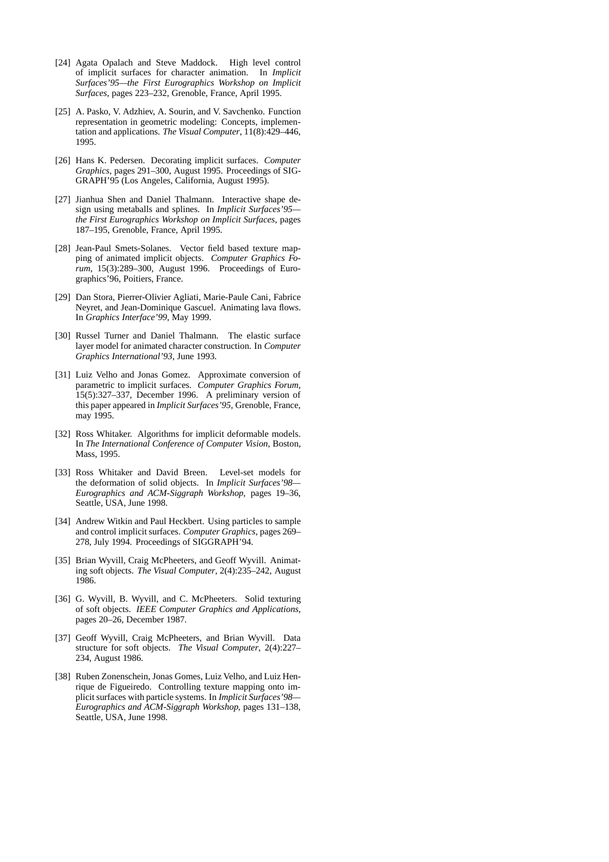- [24] Agata Opalach and Steve Maddock. High level control of implicit surfaces for character animation. In *Implicit Surfaces'95—the First Eurographics Workshop on Implicit Surfaces*, pages 223–232, Grenoble, France, April 1995.
- [25] A. Pasko, V. Adzhiev, A. Sourin, and V. Savchenko. Function representation in geometric modeling: Concepts, implementation and applications. *The Visual Computer*, 11(8):429–446, 1995.
- [26] Hans K. Pedersen. Decorating implicit surfaces. *Computer Graphics*, pages 291–300, August 1995. Proceedings of SIG-GRAPH'95 (Los Angeles, California, August 1995).
- [27] Jianhua Shen and Daniel Thalmann. Interactive shape design using metaballs and splines. In *Implicit Surfaces'95 the First Eurographics Workshop on Implicit Surfaces*, pages 187–195, Grenoble, France, April 1995.
- [28] Jean-Paul Smets-Solanes. Vector field based texture mapping of animated implicit objects. *Computer Graphics Forum*, 15(3):289–300, August 1996. Proceedings of Eurographics'96, Poitiers, France.
- [29] Dan Stora, Pierrer-Olivier Agliati, Marie-Paule Cani, Fabrice Neyret, and Jean-Dominique Gascuel. Animating lava flows. In *Graphics Interface'99*, May 1999.
- [30] Russel Turner and Daniel Thalmann. The elastic surface layer model for animated character construction. In *Computer Graphics International'93*, June 1993.
- [31] Luiz Velho and Jonas Gomez. Approximate conversion of parametric to implicit surfaces. *Computer Graphics Forum*, 15(5):327–337, December 1996. A preliminary version of this paper appeared in *Implicit Surfaces'95*, Grenoble, France, may 1995.
- [32] Ross Whitaker. Algorithms for implicit deformable models. In *The International Conference of Computer Vision*, Boston, Mass, 1995.
- [33] Ross Whitaker and David Breen. Level-set models for the deformation of solid objects. In *Implicit Surfaces'98— Eurographics and ACM-Siggraph Workshop*, pages 19–36, Seattle, USA, June 1998.
- [34] Andrew Witkin and Paul Heckbert. Using particles to sample and control implicit surfaces. *Computer Graphics*, pages 269– 278, July 1994. Proceedings of SIGGRAPH'94.
- [35] Brian Wyvill, Craig McPheeters, and Geoff Wyvill. Animating soft objects. *The Visual Computer*, 2(4):235–242, August 1986.
- [36] G. Wyvill, B. Wyvill, and C. McPheeters. Solid texturing of soft objects. *IEEE Computer Graphics and Applications*, pages 20–26, December 1987.
- [37] Geoff Wyvill, Craig McPheeters, and Brian Wyvill. Data structure for soft objects. *The Visual Computer*, 2(4):227– 234, August 1986.
- [38] Ruben Zonenschein, Jonas Gomes, Luiz Velho, and Luiz Henrique de Figueiredo. Controlling texture mapping onto implicit surfaces with particle systems. In *Implicit Surfaces'98— Eurographics and ACM-Siggraph Workshop*, pages 131–138, Seattle, USA, June 1998.